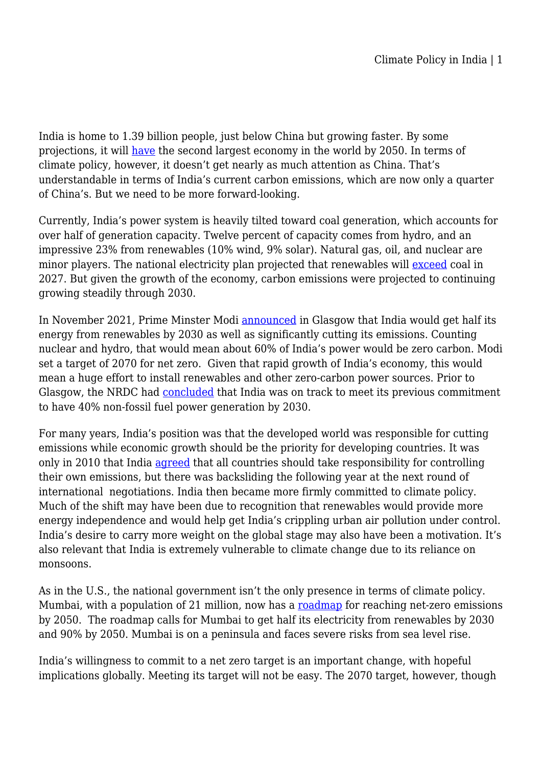India is home to 1.39 billion people, just below China but growing faster. By some projections, it will [have](https://www.pwc.com/gx/en/research-insights/economy/the-world-in-2050.html) the second largest economy in the world by 2050. In terms of climate policy, however, it doesn't get nearly as much attention as China. That's understandable in terms of India's current carbon emissions, which are now only a quarter of China's. But we need to be more forward-looking.

Currently, India's power system is heavily tilted toward coal generation, which accounts for over half of generation capacity. Twelve percent of capacity comes from hydro, and an impressive 23% from renewables (10% wind, 9% solar). Natural gas, oil, and nuclear are minor players. The national electricity plan projected that renewables will [exceed](https://www.nrdc.org/experts/anjali-jaiswal/transitioning-indias-economy-clean-energy) coal in 2027. But given the growth of the economy, carbon emissions were projected to continuing growing steadily through 2030.

In November 2021, Prime Minster Modi **announced** in Glasgow that India would get half its energy from renewables by 2030 as well as significantly cutting its emissions. Counting nuclear and hydro, that would mean about 60% of India's power would be zero carbon. Modi set a target of 2070 for net zero. Given that rapid growth of India's economy, this would mean a huge effort to install renewables and other zero-carbon power sources. Prior to Glasgow, the NRDC had [concluded](https://www.nrdc.org/experts/sameer-kwatra/indias-climate-journey-paris-glasgow) that India was on track to meet its previous commitment to have 40% non-fossil fuel power generation by 2030.

For many years, India's position was that the developed world was responsible for cutting emissions while economic growth should be the priority for developing countries. It was only in 2010 that India [agreed](https://www.orfonline.org/research/rio-to-paris-india-global-climate-politics/) that all countries should take responsibility for controlling their own emissions, but there was backsliding the following year at the next round of international negotiations. India then became more firmly committed to climate policy. Much of the shift may have been due to recognition that renewables would provide more energy independence and would help get India's crippling urban air pollution under control. India's desire to carry more weight on the global stage may also have been a motivation. It's also relevant that India is extremely vulnerable to climate change due to its reliance on monsoons.

As in the U.S., the national government isn't the only presence in terms of climate policy. Mumbai, with a population of 21 million, now has a [roadmap](https://drive.google.com/file/d/1gU3Bnhk3UJ_wCFaMC1ognZBdsdDkQBY1/view) for reaching net-zero emissions by 2050. The roadmap calls for Mumbai to get half its electricity from renewables by 2030 and 90% by 2050. Mumbai is on a peninsula and faces severe risks from sea level rise.

India's willingness to commit to a net zero target is an important change, with hopeful implications globally. Meeting its target will not be easy. The 2070 target, however, though